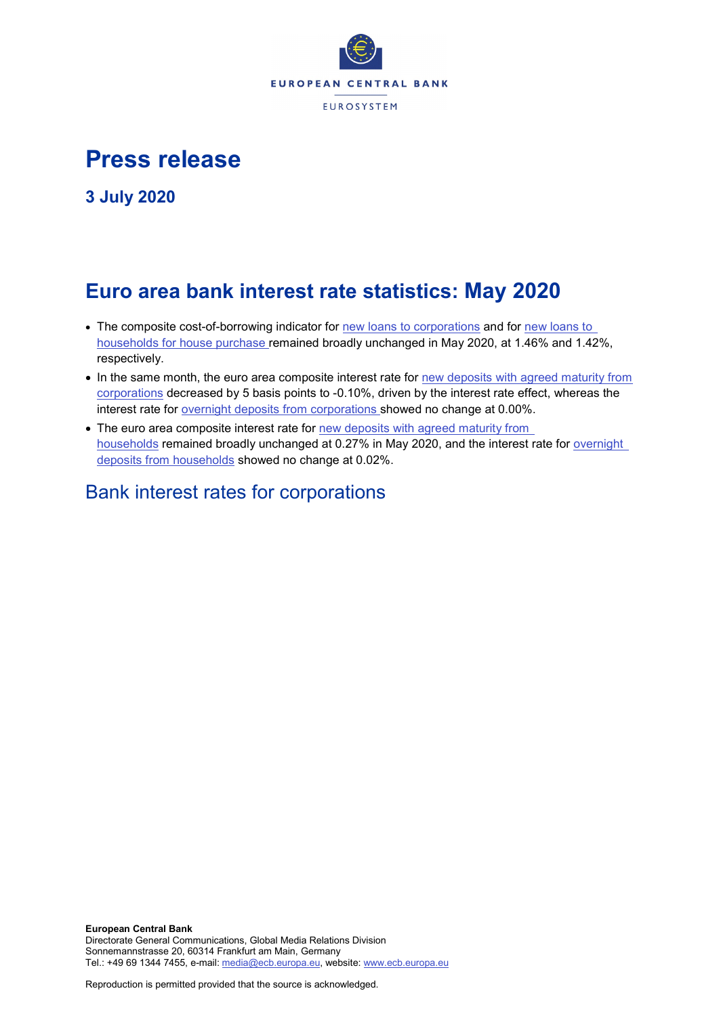

# **Press release**

**3 July 2020**

# **Euro area bank interest rate statistics: May 2020**

- The composite cost-of-borrowing indicator for [new loans to corporations](http://sdw.ecb.europa.eu/quickview.do?SERIES_KEY=124.MIR.M.U2.B.A2I.AM.R.A.2240.EUR.N) and for [new loans to](http://sdw.ecb.europa.eu/quickview.do?SERIES_KEY=124.MIR.M.U2.B.A2C.AM.R.A.2250.EUR.N)  [households for house purchase](http://sdw.ecb.europa.eu/quickview.do?SERIES_KEY=124.MIR.M.U2.B.A2C.AM.R.A.2250.EUR.N) remained broadly unchanged in May 2020, at 1.46% and 1.42%, respectively.
- In the same month, the euro area composite interest rate for [new deposits with agreed maturity from](http://sdw.ecb.europa.eu/quickview.do?SERIES_KEY=124.MIR.M.U2.B.L22.A.R.A.2240.EUR.N)  [corporations](http://sdw.ecb.europa.eu/quickview.do?SERIES_KEY=124.MIR.M.U2.B.L22.A.R.A.2240.EUR.N) decreased by 5 basis points to -0.10%, driven by the interest rate effect, whereas the interest rate for [overnight deposits](http://sdw.ecb.europa.eu/quickview.do?SERIES_KEY=124.MIR.M.U2.B.L21.A.R.A.2240.EUR.N) from corporations showed no change at 0.00%.
- The euro area composite interest rate for new deposits with agreed maturity from [households](http://sdw.ecb.europa.eu/quickview.do?SERIES_KEY=124.MIR.M.U2.B.L22.A.R.A.2250.EUR.N) remained broadly unchanged at 0.27% in May 2020, and the interest rate for [overnight](http://sdw.ecb.europa.eu/quickview.do?SERIES_KEY=124.MIR.M.U2.B.L21.A.R.A.2250.EUR.N)  deposits [from households](http://sdw.ecb.europa.eu/quickview.do?SERIES_KEY=124.MIR.M.U2.B.L21.A.R.A.2250.EUR.N) showed no change at 0.02%.

# Bank interest rates for corporations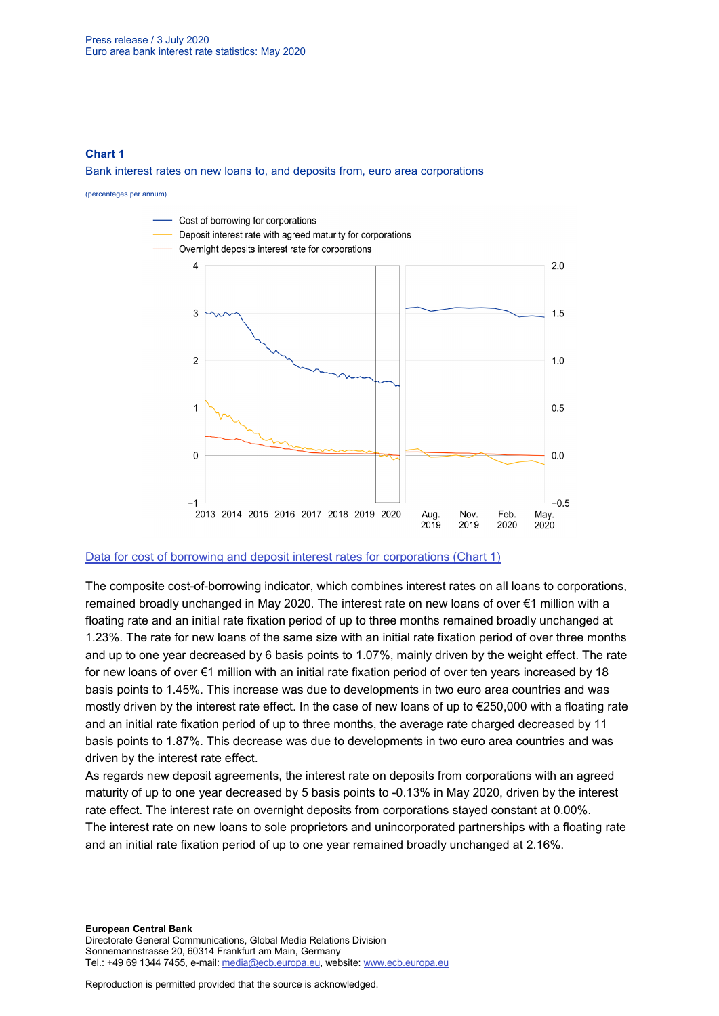## **Chart 1**

#### Bank interest rates on new loans to, and deposits from, euro area corporations

(percentages per annum)



### [Data for cost of borrowing and deposit interest rates for corporations \(Chart 1\)](http://sdw.ecb.europa.eu/browseSelection.do?type=series&q=MIR.M.U2.B.L22.A.R.A.2240.EUR.N+MIR.M.U2.B.A2I.AM.R.A.2240.EUR.N+MIR.M.U2.B.L21.A.R.A.2240.EUR.N&node=SEARCHRESULTS)

The composite cost-of-borrowing indicator, which combines interest rates on all loans to corporations, remained broadly unchanged in May 2020. The interest rate on new loans of over €1 million with a floating rate and an initial rate fixation period of up to three months remained broadly unchanged at 1.23%. The rate for new loans of the same size with an initial rate fixation period of over three months and up to one year decreased by 6 basis points to 1.07%, mainly driven by the weight effect. The rate for new loans of over €1 million with an initial rate fixation period of over ten years increased by 18 basis points to 1.45%. This increase was due to developments in two euro area countries and was mostly driven by the interest rate effect. In the case of new loans of up to €250,000 with a floating rate and an initial rate fixation period of up to three months, the average rate charged decreased by 11 basis points to 1.87%. This decrease was due to developments in two euro area countries and was driven by the interest rate effect.

As regards new deposit agreements, the interest rate on deposits from corporations with an agreed maturity of up to one year decreased by 5 basis points to -0.13% in May 2020, driven by the interest rate effect. The interest rate on overnight deposits from corporations stayed constant at 0.00%. The interest rate on new loans to sole proprietors and unincorporated partnerships with a floating rate and an initial rate fixation period of up to one year remained broadly unchanged at 2.16%.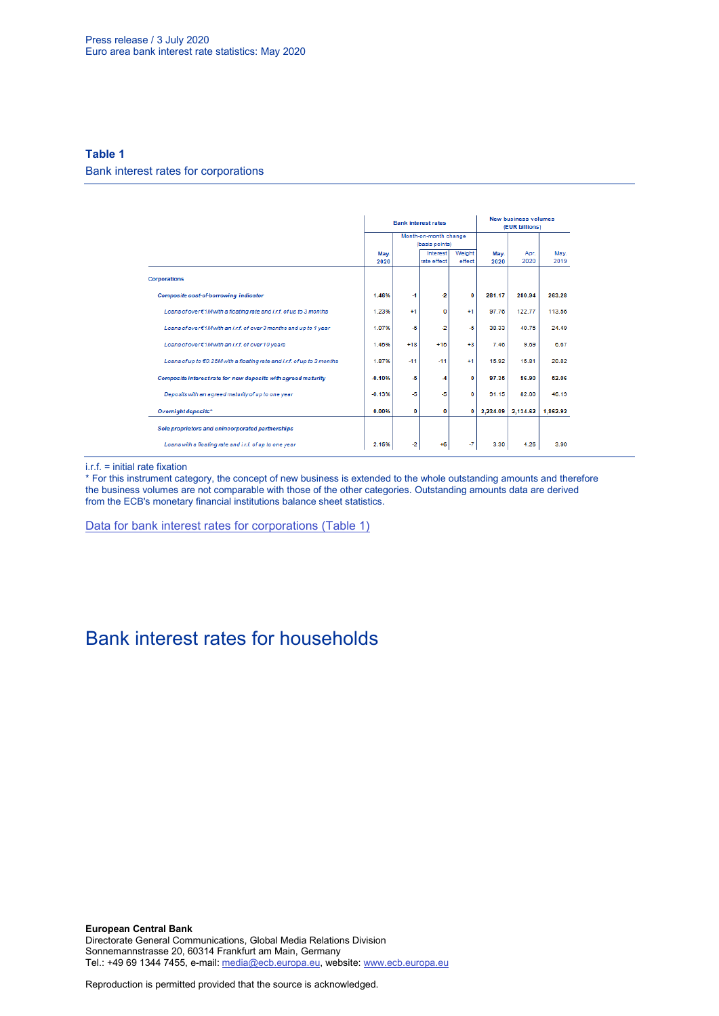## **Table 1**

Bank interest rates for corporations

|                                                                           |              |                                         | <b>Bank interest rates</b> | <b>New business volumes</b><br>(EUR billions) |              |              |              |
|---------------------------------------------------------------------------|--------------|-----------------------------------------|----------------------------|-----------------------------------------------|--------------|--------------|--------------|
|                                                                           |              | Month-on-month change<br>(basis points) |                            |                                               |              |              |              |
|                                                                           | May.<br>2020 |                                         | Interest<br>rate effect    | Weight<br>effect                              | May.<br>2020 | Apr.<br>2020 | May.<br>2019 |
| <b>Corporations</b>                                                       |              |                                         |                            |                                               |              |              |              |
| Composite cost-of-borrowing indicator                                     | 1.46%        | -1                                      | -2                         | o                                             | 281.17       | 280.94       | 263.28       |
| Loans of over€1M with a floating rate and i.r.f. of up to 3 months        | 1.23%        | $+1$                                    | 0                          | $+1$                                          | 97.76        | 122.77       | 113.56       |
| Loans of over€1M with an i.r.f. of over3 months and up to 1 year          | 1.07%        | -6                                      | $-2$                       | $-5$                                          | 38.33        | 40.75        | 24.49        |
| Loans of over€1M with an i.r.f. of over 10 years                          | 1.45%        | $+18$                                   | $+15$                      | $+3$                                          | 7.46         | 9.69         | 6.67         |
| Loans of up to $€0.25M$ with a floating rate and i.r.f. of up to 3 months | 1.87%        | $-11$                                   | $-11$                      | $+1$                                          | 15.92        | 15.81        | 20.82        |
| Composite interest rate for new deposits with agreed maturity             | $-0.10%$     | -5                                      | $\overline{\mathcal{A}}$   | o                                             | 97.35        | 86.90        | 52.06        |
| Deposits with an agreed maturity of up to one year                        | $-0.13%$     | -5                                      | $-5$                       | o                                             | 91.15        | 82.00        | 46.19        |
| Overnight deposits*                                                       | 0.00%        | 0                                       | 0                          | 0                                             | 2.234.09     | 2.134.62     | 1,862.92     |
| Sole proprietors and unincorporated partnerships                          |              |                                         |                            |                                               |              |              |              |
| Loans with a floating rate and i.r.f. of up to one year                   | 2.16%        | $-2$                                    | $+6$                       | -7                                            | 3.30         | 4.26         | 3.90         |

i.r.f. = initial rate fixation

\* For this instrument category, the concept of new business is extended to the whole outstanding amounts and therefore the business volumes are not comparable with those of the other categories. Outstanding amounts data are derived from the ECB's monetary financial institutions balance sheet statistics.

[Data for bank interest rates for corporations \(Table 1\)](http://sdw.ecb.europa.eu/browseSelection.do?type=series&q=MIR.M.U2.B.A2I.AM.R.A.2240.EUR.N+MIR.M.U2.B.A2A.D.R.1.2240.EUR.N+MIR.M.U2.B.A2A.Q.R.1.2240.EUR.N+MIR.M.U2.B.A2A.P.R.1.2240.EUR.N++MIR.M.U2.B.A2A.D.R.2.2240.EUR.N++MIR.M.U2.B.L22.F.R.A.2240.EUR.N++MIR.M.U2.B.A2D.F.R.A.2253.EUR.N+MIR.M.U2.B.L22.A.R.A.2240.EUR.N+MIR.M.U2.B.L21.A.R.A.2240.EUR.N+&node=SEARCHRESULTS&ec=&oc=&rc=&cv=&pb=&dc=&df=)

# Bank interest rates for households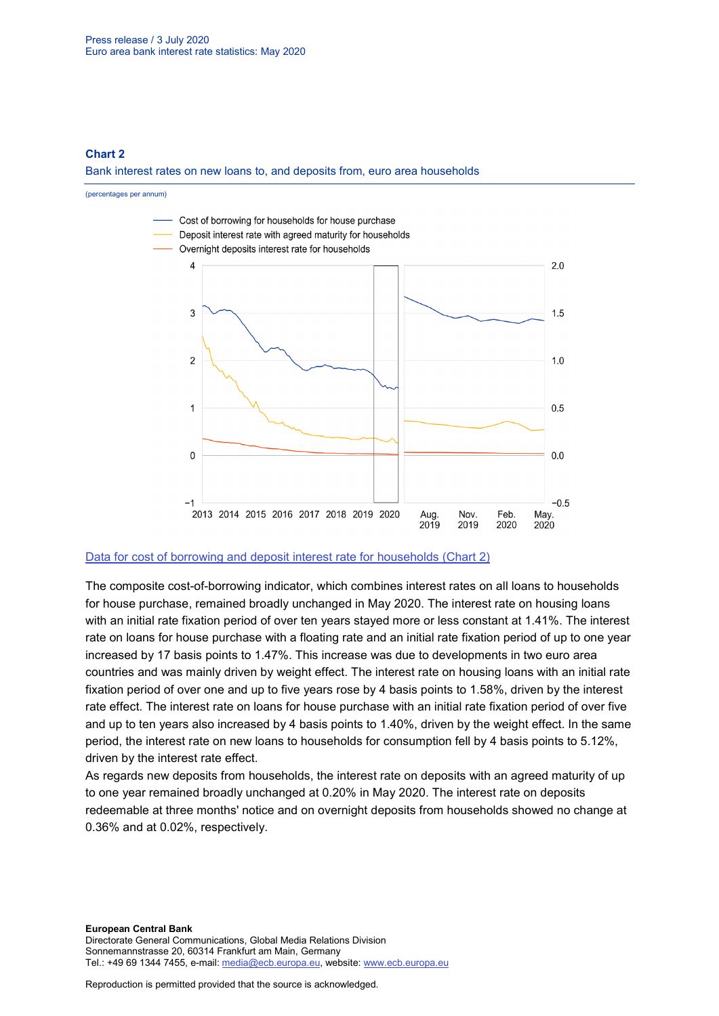## **Chart 2**

Bank interest rates on new loans to, and deposits from, euro area households

(percentages per annum)



### [Data for cost of borrowing and deposit interest rate for households \(Chart 2\)](http://sdw.ecb.europa.eu/browseSelection.do?type=series&q=MIR.M.U2.B.L22.A.R.A.2250.EUR.N+MIR.M.U2.B.A2C.AM.R.A.2250.EUR.N+MIR.M.U2.B.L21.A.R.A.2250.EUR.N&node=SEARCHRESULTS)

The composite cost-of-borrowing indicator, which combines interest rates on all loans to households for house purchase, remained broadly unchanged in May 2020. The interest rate on housing loans with an initial rate fixation period of over ten years stayed more or less constant at 1.41%. The interest rate on loans for house purchase with a floating rate and an initial rate fixation period of up to one year increased by 17 basis points to 1.47%. This increase was due to developments in two euro area countries and was mainly driven by weight effect. The interest rate on housing loans with an initial rate fixation period of over one and up to five years rose by 4 basis points to 1.58%, driven by the interest rate effect. The interest rate on loans for house purchase with an initial rate fixation period of over five and up to ten years also increased by 4 basis points to 1.40%, driven by the weight effect. In the same period, the interest rate on new loans to households for consumption fell by 4 basis points to 5.12%, driven by the interest rate effect.

As regards new deposits from households, the interest rate on deposits with an agreed maturity of up to one year remained broadly unchanged at 0.20% in May 2020. The interest rate on deposits redeemable at three months' notice and on overnight deposits from households showed no change at 0.36% and at 0.02%, respectively.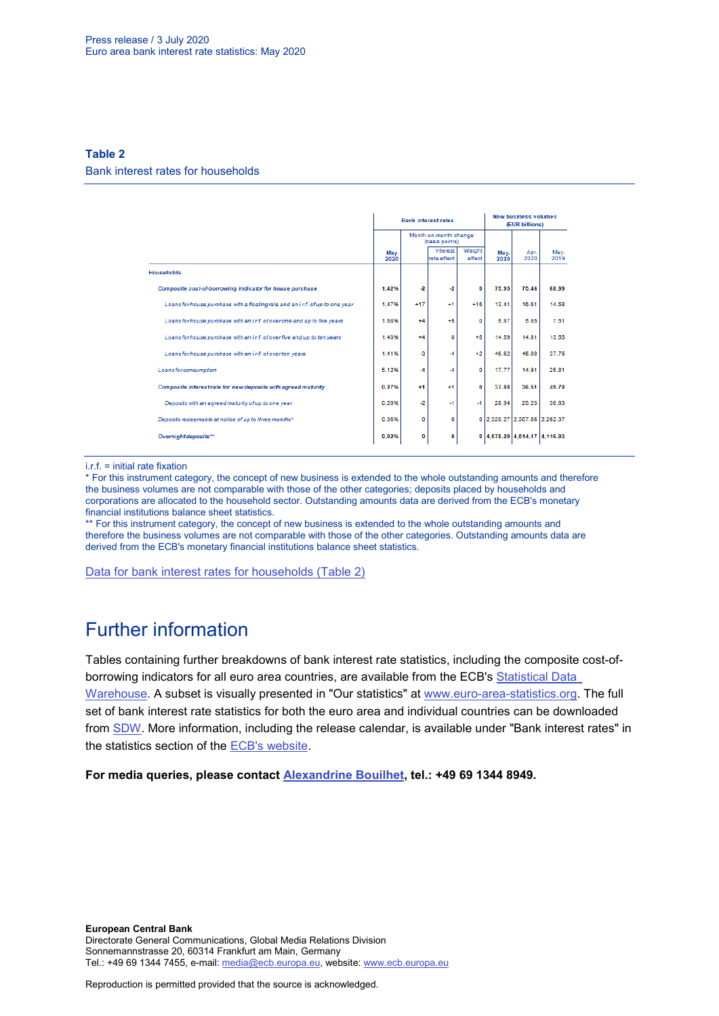## **Table 2**

#### Bank interest rates for households

|                                                                               |              |                                         | <b>Bank interest rates</b> | <b>New business volumes</b><br>(EUR billions) |              |                              |              |
|-------------------------------------------------------------------------------|--------------|-----------------------------------------|----------------------------|-----------------------------------------------|--------------|------------------------------|--------------|
|                                                                               |              | Month-on-month change<br>(basis points) |                            |                                               |              |                              |              |
|                                                                               | May.<br>2020 |                                         | Interest<br>rate effect    | Weight<br>effect                              | May.<br>2020 | Apr.<br>2020                 | May.<br>2019 |
| <b>Households</b>                                                             |              |                                         |                            |                                               |              |                              |              |
| Composite cost-of-borrowing indicator for house purchase                      | 1.42%        | $\cdot$ <sub>2</sub>                    | $-2$                       | $\Omega$                                      | 7595         | 75.46                        | 68.99        |
| Loans for house purchase with a floating rate and an i.r.f. of up to one year | 1.47%        | $+17$                                   | $+1$                       | $+16$                                         | 13.41        | 16.61                        | 14.58        |
| Loans for house purchase with an i.r.f. of over one and up to five years      | 1.58%        | $+4$                                    | $+5$                       | ٥                                             | 5.87         | 5.85                         | 7.51         |
| Loans for house purchase with an i.r.f. of overfive and up to ten years       | 1.40%        | $+4$                                    | O                          | $+5$                                          | 14.59        | 14.81                        | 13.55        |
| Loans for house purchase with an i.r.f. of overten years                      | 1.41%        | -3                                      | -4                         | $+2$                                          | 46.62        | 46.08                        | 37.76        |
| Loans for consumption                                                         | 5.12%        | $-4$                                    | -4                         | o                                             | 17.77        | 14.91                        | 25.81        |
| Composite interest rate for new deposits with agreed maturity                 | 0.27%        | $+1$                                    | $+1$                       | 0                                             | 37.88        | 36.51                        | 49.78        |
| Deposits with an agreed maturity of up to one year                            | 0.20%        | -2                                      | $-1$                       | $-1$                                          | 28.94        | 29.25                        | 36.83        |
| Deposits redeemable at notice of up to three months*                          | 0.36%        | 0                                       | 0                          |                                               |              | 0 2,329.27 2,307.56 2,262.37 |              |
| Overnight deposits**                                                          | 0.02%        | 0                                       | 0                          |                                               |              | 0 4.578.29 4.514.17 4.116.93 |              |

i.r.f. = initial rate fixation

\* For this instrument category, the concept of new business is extended to the whole outstanding amounts and therefore the business volumes are not comparable with those of the other categories; deposits placed by households and corporations are allocated to the household sector. Outstanding amounts data are derived from the ECB's monetary financial institutions balance sheet statistics.

\*\* For this instrument category, the concept of new business is extended to the whole outstanding amounts and therefore the business volumes are not comparable with those of the other categories. Outstanding amounts data are derived from the ECB's monetary financial institutions balance sheet statistics.

[Data for bank interest rates for households \(Table 2\)](http://sdw.ecb.europa.eu/browseSelection.do?type=series&q=MIR.M.U2.B.A2C.AM.R.A.2250.EUR.N%2cMIR.M.U2.B.A2C.F.R.A.2250.EUR.N%2cMIR.M.U2.B.A2C.P.R.A.2250.EUR.N%2cMIR.M.U2.B.A2B.A.R.A.2250.EUR.N%2cMIR.M.U2.B.A2C.I.R.A.2250.EUR.N%2cMIR.M.U2.B.A2C.O.R.A.2250.EUR.N%2cMIR.M.U2.B.L22.F.R.A.2250.EUR.N%2cMIR.M.U2.B.L23.D.R.A.2250.EUR.N%2cMIR.M.U2.B.L22.A.R.A.2250.EUR.N%2cMIR.M.U2.B.L21.A.R.A.2250.EUR.N&node=SEARCHRESULTS&ec=&oc=&rc=&cv=&pb=&dc=&df=)

# Further information

Tables containing further breakdowns of bank interest rate statistics, including the composite cost-ofborrowing indicators for all euro area countries, are available from the ECB's Statistical Data [Warehouse.](http://sdw.ecb.europa.eu/reports.do?node=1000002880) A subset is visually presented in "Our statistics" at [www.euro-area-statistics.org.](http://www.euro-area-statistics.org/) The full set of bank interest rate statistics for both the euro area and individual countries can be downloaded from [SDW.](http://sdw.ecb.europa.eu/browse.do?node=9691123) More information, including the release calendar, is available under "Bank interest rates" in the statistics section of the [ECB's website.](http://www.ecb.europa.eu/stats/financial_markets_and_interest_rates/bank_interest_rates/mfi_interest_rates/html/index.en.html)

**For media queries, please contact [Alexandrine Bouilhet,](mailto:mailto:alexandrine.bouilhet@ecb.europa.eu) tel.: +49 69 1344 8949.**